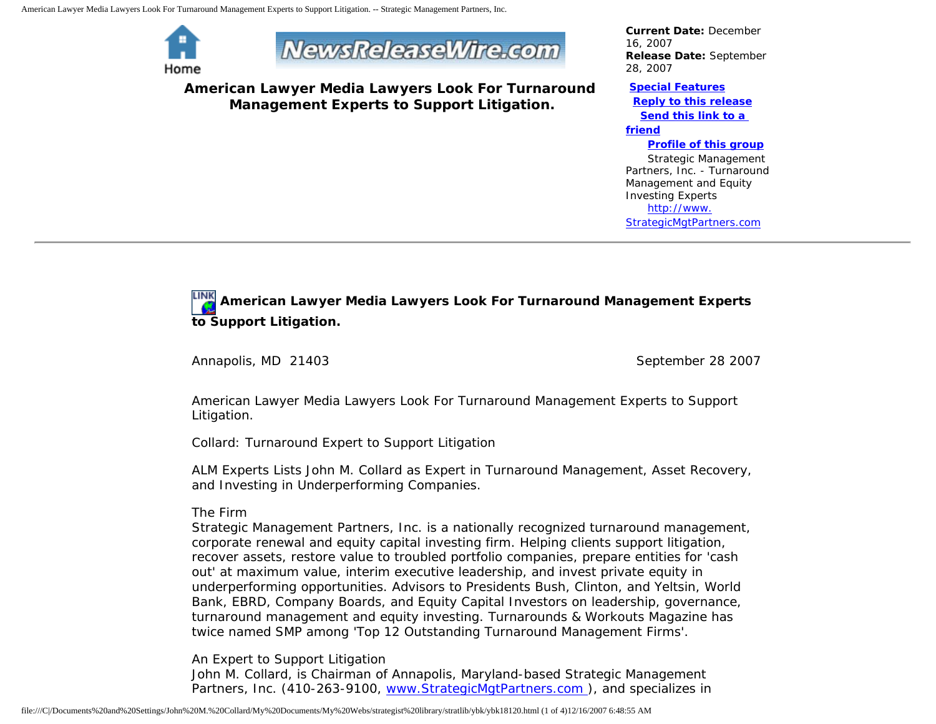



**American Lawyer Media Lawyers Look For Turnaround Management Experts to Support Litigation.**

*Current Date:* December 16, 2007 *Release Date:* September 28, 2007

## **[Special Features](javascript:openlittleme()**

 **[Reply to this release](file:///C|/Documents%20and%20Settings/John%20M.%20Collard/My%20Documents/My%20Webs/strategist%20library/stratlib/ybk/default.cfm?Action=ReplyRelease&Id=18120) [Send this link to a](file:///C|/Documents%20and%20Settings/John%20M.%20Collard/My%20Documents/My%20Webs/strategist%20library/stratlib/ybk/default.cfm?Action=SendLink&SendId=18120)** 

## **[friend](file:///C|/Documents%20and%20Settings/John%20M.%20Collard/My%20Documents/My%20Webs/strategist%20library/stratlib/ybk/default.cfm?Action=SendLink&SendId=18120)**

## **[Profile of this group](file:///C|/Documents%20and%20Settings/John%20M.%20Collard/My%20Documents/My%20Webs/strategist%20library/stratlib/ybk/default.cfm?Action=Profile&ProfileId=623)**

 Strategic Management Partners, Inc. - Turnaround Management and Equity Investing Experts [http://www.](http://www.strategicmgtpartners.com/) [StrategicMgtPartners.com](http://www.strategicmgtpartners.com/)

## **American Lawyer Media Lawyers Look For Turnaround Management Experts to Support Litigation.**

Annapolis, MD 21403 September 28 2007

American Lawyer Media Lawyers Look For Turnaround Management Experts to Support Litigation.

Collard: Turnaround Expert to Support Litigation

ALM Experts Lists John M. Collard as Expert in Turnaround Management, Asset Recovery, and Investing in Underperforming Companies.

The Firm

Strategic Management Partners, Inc. is a nationally recognized turnaround management, corporate renewal and equity capital investing firm. Helping clients support litigation, recover assets, restore value to troubled portfolio companies, prepare entities for 'cash out' at maximum value, interim executive leadership, and invest private equity in underperforming opportunities. Advisors to Presidents Bush, Clinton, and Yeltsin, World Bank, EBRD, Company Boards, and Equity Capital Investors on leadership, governance, turnaround management and equity investing. Turnarounds & Workouts Magazine has twice named SMP among 'Top 12 Outstanding Turnaround Management Firms'.

An Expert to Support Litigation

John M. Collard, is Chairman of Annapolis, Maryland-based Strategic Management Partners, Inc. (410-263-9100, [www.StrategicMgtPartners.com](http://www.strategicmgtpartners.com/) ), and specializes in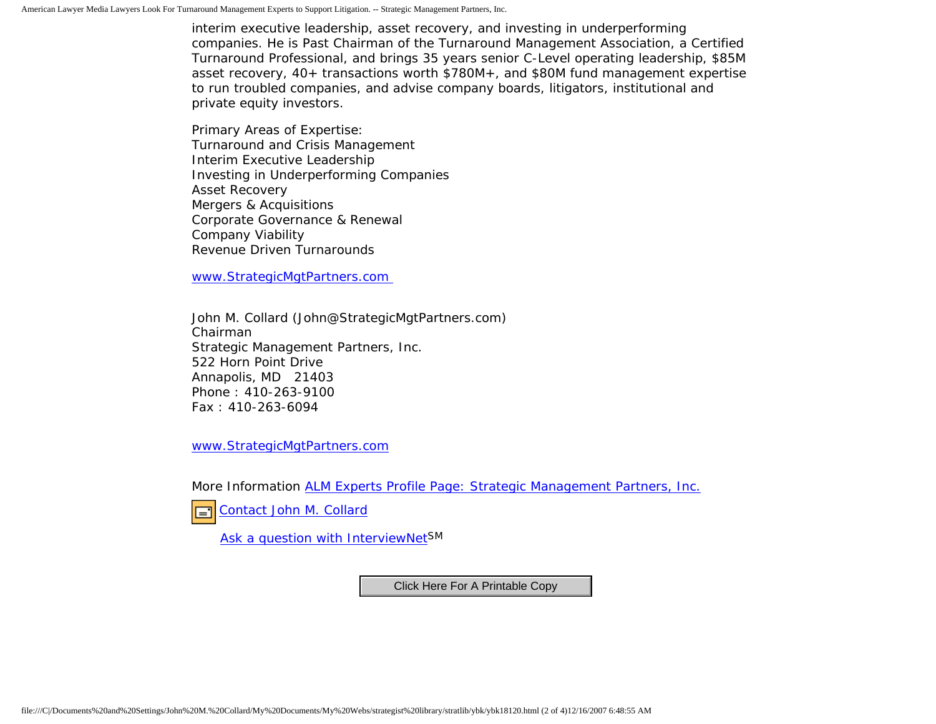interim executive leadership, asset recovery, and investing in underperforming companies. He is Past Chairman of the Turnaround Management Association, a Certified Turnaround Professional, and brings 35 years senior C-Level operating leadership, \$85M asset recovery, 40+ transactions worth \$780M+, and \$80M fund management expertise to run troubled companies, and advise company boards, litigators, institutional and private equity investors.

Primary Areas of Expertise: Turnaround and Crisis Management Interim Executive Leadership Investing in Underperforming Companies Asset Recovery Mergers & Acquisitions Corporate Governance & Renewal Company Viability Revenue Driven Turnarounds

[www.StrategicMgtPartners.com](http://www.strategicmgtpartners.com/)

John M. Collard (John@StrategicMgtPartners.com) Chairman Strategic Management Partners, Inc. 522 Horn Point Drive Annapolis, MD 21403 Phone : 410-263-9100 Fax : 410-263-6094

[www.StrategicMgtPartners.com](http://www.strategicmgtpartners.com/)

More Information [ALM Experts Profile Page: Strategic Management Partners, Inc.](http://www.almexperts.com/ExpertWitness/experts_and_consultants/expert/5240329.html)

[Contact John M. Collard](http://www.expertclick.com/expertClick/contact/default.cfm?Action=ContactExpert&GroupID=1016)  $\Box$ 

[Ask a question with InterviewNetS](http://www.expertclick.com/expertClick/contact/default.cfm?GroupID=1016)M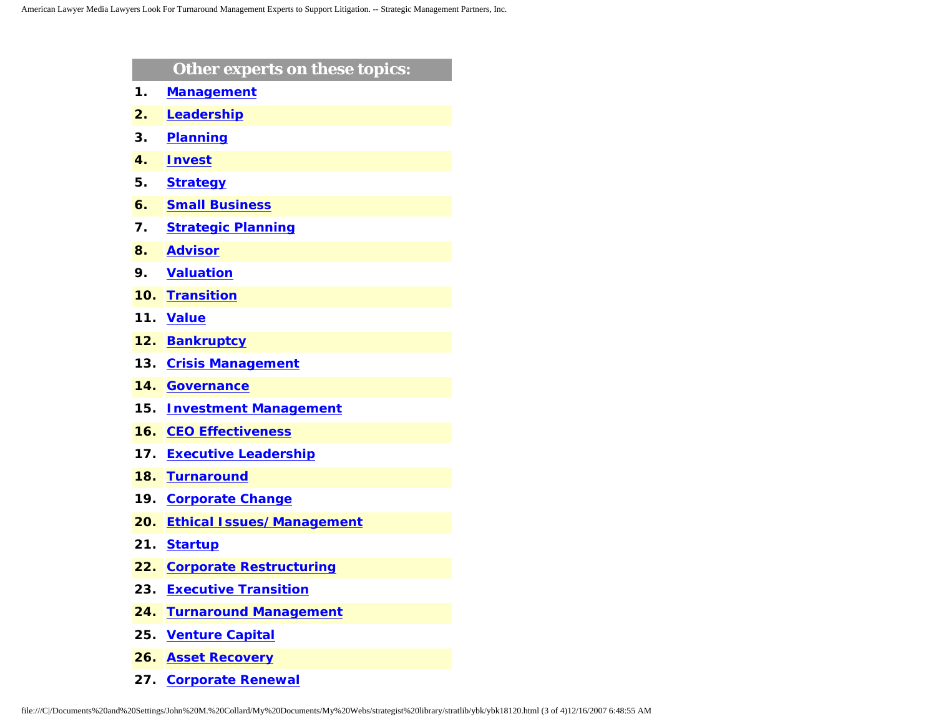|     | Other experts on these topics:   |
|-----|----------------------------------|
| 1.  | <b>Management</b>                |
| 2.  | Leadership                       |
| З.  | <b>Planning</b>                  |
| 4.  | <b>Invest</b>                    |
| 5.  | <b>Strategy</b>                  |
| 6.  | <b>Small Business</b>            |
| 7.  | <b>Strategic Planning</b>        |
| 8.  | <b>Advisor</b>                   |
| 9.  | <b>Valuation</b>                 |
| 10. | <b>Transition</b>                |
| 11. | <b>Value</b>                     |
| 12. | <b>Bankruptcy</b>                |
| 13. | <b>Crisis Management</b>         |
| 14. | <b>Governance</b>                |
| 15. | <b>Investment Management</b>     |
| 16. | <b>CEO Effectiveness</b>         |
| 17. | <b>Executive Leadership</b>      |
| 18. | <b>Turnaround</b>                |
| 19. | <b>Corporate Change</b>          |
| 20. | <b>Ethical Issues/Management</b> |
| 21. | <b>Startup</b>                   |
| 22. | <b>Corporate Restructuring</b>   |
| 23. | <b>Executive Transition</b>      |
| 24. | <b>Turnaround Management</b>     |
| 25. | <b>Venture Capital</b>           |
| 26. | <b>Asset Recovery</b>            |
|     |                                  |

**27. [Corporate Renewal](http://www.expertclick.com/search/default.cfm?SearchCriteria=Corporate Renewal)**